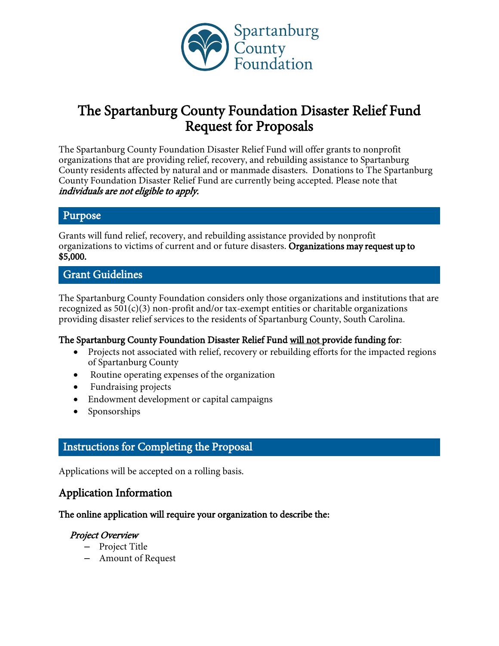

# The Spartanburg County Foundation Disaster Relief Fund Request for Proposals

The Spartanburg County Foundation Disaster Relief Fund will offer grants to nonprofit organizations that are providing relief, recovery, and rebuilding assistance to Spartanburg County residents affected by natural and or manmade disasters. Donations to The Spartanburg County Foundation Disaster Relief Fund are currently being accepted. Please note that individuals are not eligible to apply.

#### Purpose

Grants will fund relief, recovery, and rebuilding assistance provided by nonprofit organizations to victims of current and or future disasters. Organizations may request up to \$5,000.

# Grant Guidelines

The Spartanburg County Foundation considers only those organizations and institutions that are recognized as  $501(c)(3)$  non-profit and/or tax-exempt entities or charitable organizations providing disaster relief services to the residents of Spartanburg County, South Carolina.

## The Spartanburg County Foundation Disaster Relief Fund will not provide funding for:

- Projects not associated with relief, recovery or rebuilding efforts for the impacted regions of Spartanburg County
- Routine operating expenses of the organization
- Fundraising projects
- Endowment development or capital campaigns
- $\bullet$  Sponsorships

# Instructions for Completing the Proposal

Applications will be accepted on a rolling basis.

# Application Information

#### The online application will require your organization to describe the:

## Project Overview

- Project Title
- Amount of Request